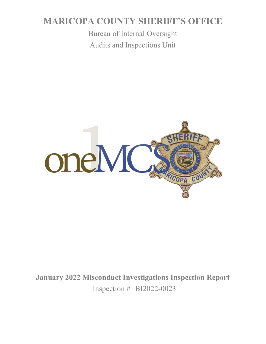# **MARICOPA COUNTY SHERIFF'S OFFICE**

Bureau of Internal Oversight Audits and Inspections Unit



**January 2022 Misconduct Investigations Inspection Report** Inspection # BI2022-0023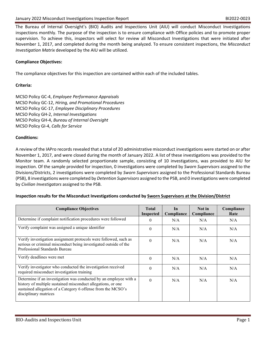The Bureau of Internal Oversight's (BIO) Audits and Inspections Unit (AIU) will conduct Misconduct Investigations inspections monthly. The purpose of the inspection is to ensure compliance with Office policies and to promote proper supervision. To achieve this, inspectors will select for review all Misconduct Investigations that were initiated after November 1, 2017, and completed during the month being analyzed. To ensure consistent inspections, the *Misconduct Investigation Matrix* developed by the AIU will be utilized.

## **Compliance Objectives:**

The compliance objectives for this inspection are contained within each of the included tables.

## **Criteria:**

MCSO Policy GC-4, *Employee Performance Appraisals* MCSO Policy GC-12, *Hiring, and Promotional Procedures* MCSO Policy GC-17, *Employee Disciplinary Procedures* MCSO Policy GH-2, *Internal Investigations* MCSO Policy GH-4, *Bureau of Internal Oversight* MCSO Policy GI-4, *Calls for Service*

#### **Conditions:**

A review of the IAPro records revealed that a total of 20 administrative misconduct investigations were started on or after November 1, 2017, and were closed during the month of January 2022. A list of these investigations was provided to the Monitor team. A randomly selected proportionate sample, consisting of 10 investigations, was provided to AIU for inspection. Of the sample provided for inspection, 0 investigations were completed by *Sworn Supervisors* assigned to the Divisions/Districts, 2 investigations were completed by *Sworn Supervisors* assigned to the Professional Standards Bureau (PSB), 8 investigations were completed by *Detention Supervisors* assigned to the PSB, and 0 investigations were completed by *Civilian Investigators* assigned to the PSB.

#### **Inspection results for the Misconduct Investigations conducted by Sworn Supervisors at the Division/District**

| <b>Compliance Objectives</b>                                                                                                                                                                                               | <b>Total</b><br>Inspected | In<br>Compliance | Not in<br>Compliance | Compliance<br>Rate |
|----------------------------------------------------------------------------------------------------------------------------------------------------------------------------------------------------------------------------|---------------------------|------------------|----------------------|--------------------|
| Determine if complaint notification procedures were followed                                                                                                                                                               | $\Omega$                  | N/A              | N/A                  | N/A                |
| Verify complaint was assigned a unique identifier                                                                                                                                                                          | $\theta$                  | N/A              | N/A                  | N/A                |
| Verify investigation assignment protocols were followed, such as<br>serious or criminal misconduct being investigated outside of the<br>Professional Standards Bureau                                                      | $\Omega$                  | N/A              | N/A                  | N/A                |
| Verify deadlines were met                                                                                                                                                                                                  | $\Omega$                  | N/A              | N/A                  | N/A                |
| Verify investigator who conducted the investigation received<br>required misconduct investigation training                                                                                                                 | $\Omega$                  | N/A              | N/A                  | N/A                |
| Determine if an investigation was conducted by an employee with a<br>history of multiple sustained misconduct allegations, or one<br>sustained allegation of a Category 6 offense from the MCSO's<br>disciplinary matrices | $\Omega$                  | N/A              | N/A                  | N/A                |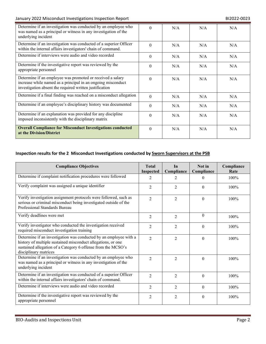# January 2022 Misconduct Investigations Inspection Report **BI2022-0023** BI2022-0023

| Determine if an investigation was conducted by an employee who<br>was named as a principal or witness in any investigation of the<br>underlying incident                              | $\Omega$ | N/A | N/A | N/A |
|---------------------------------------------------------------------------------------------------------------------------------------------------------------------------------------|----------|-----|-----|-----|
| Determine if an investigation was conducted of a superior Officer<br>within the internal affairs investigators' chain of command.                                                     | $\Omega$ | N/A | N/A | N/A |
| Determine if interviews were audio and video recorded                                                                                                                                 | $\Omega$ | N/A | N/A | N/A |
| Determine if the investigative report was reviewed by the<br>appropriate personnel                                                                                                    | $\Omega$ | N/A | N/A | N/A |
| Determine if an employee was promoted or received a salary<br>increase while named as a principal in an ongoing misconduct<br>investigation absent the required written justification | $\Omega$ | N/A | N/A | N/A |
| Determine if a final finding was reached on a misconduct allegation                                                                                                                   | $\Omega$ | N/A | N/A | N/A |
| Determine if an employee's disciplinary history was documented                                                                                                                        | $\theta$ | N/A | N/A | N/A |
| Determine if an explanation was provided for any discipline<br>imposed inconsistently with the disciplinary matrix                                                                    | $\Omega$ | N/A | N/A | N/A |
| <b>Overall Compliance for Misconduct Investigations conducted</b><br>at the Division/District                                                                                         | $\Omega$ | N/A | N/A | N/A |

# **Inspection results for the 2 Misconduct Investigations conducted by Sworn Supervisors at the PSB**

| <b>Compliance Objectives</b>                                                                                                                                                                                               | <b>Total</b><br><b>Inspected</b> | In<br>Compliance | Not in<br>Compliance | Compliance<br>Rate |
|----------------------------------------------------------------------------------------------------------------------------------------------------------------------------------------------------------------------------|----------------------------------|------------------|----------------------|--------------------|
| Determine if complaint notification procedures were followed                                                                                                                                                               | $\mathfrak{D}$                   | 2                | $\Omega$             | 100%               |
| Verify complaint was assigned a unique identifier                                                                                                                                                                          | $\overline{2}$                   | 2                | $\Omega$             | $100\%$            |
| Verify investigation assignment protocols were followed, such as<br>serious or criminal misconduct being investigated outside of the<br>Professional Standards Bureau                                                      | $\mathfrak{D}$                   | $\overline{2}$   | $\Omega$             | 100%               |
| Verify deadlines were met                                                                                                                                                                                                  | $\overline{2}$                   | $\overline{2}$   | $\Omega$             | 100%               |
| Verify investigator who conducted the investigation received<br>required misconduct investigation training                                                                                                                 | $\overline{2}$                   | $\overline{2}$   | $\Omega$             | 100%               |
| Determine if an investigation was conducted by an employee with a<br>history of multiple sustained misconduct allegations, or one<br>sustained allegation of a Category 6 offense from the MCSO's<br>disciplinary matrices | $\overline{2}$                   | $\overline{2}$   | $\Omega$             | 100%               |
| Determine if an investigation was conducted by an employee who<br>was named as a principal or witness in any investigation of the<br>underlying incident                                                                   | $\mathfrak{D}$                   | $\overline{2}$   | $\theta$             | 100%               |
| Determine if an investigation was conducted of a superior Officer<br>within the internal affairs investigators' chain of command.                                                                                          | $\overline{2}$                   | $\overline{2}$   | $\Omega$             | 100%               |
| Determine if interviews were audio and video recorded                                                                                                                                                                      | $\overline{2}$                   | $\overline{2}$   | $\Omega$             | 100%               |
| Determine if the investigative report was reviewed by the<br>appropriate personnel                                                                                                                                         | $\overline{2}$                   | $\overline{2}$   | $\theta$             | 100%               |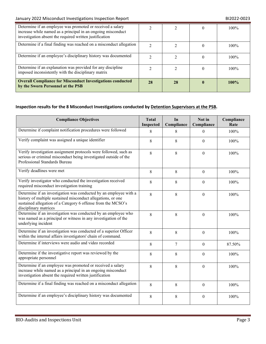| Determine if an employee was promoted or received a salary<br>increase while named as a principal in an ongoing misconduct<br>investigation absent the required written justification |    |    | 100%    |
|---------------------------------------------------------------------------------------------------------------------------------------------------------------------------------------|----|----|---------|
| Determine if a final finding was reached on a misconduct allegation                                                                                                                   |    |    | 100%    |
| Determine if an employee's disciplinary history was documented                                                                                                                        |    |    | 100%    |
| Determine if an explanation was provided for any discipline<br>imposed inconsistently with the disciplinary matrix                                                                    |    |    | $100\%$ |
| <b>Overall Compliance for Misconduct Investigations conducted</b><br>by the Sworn Personnel at the PSB                                                                                | 28 | 28 | 100%    |

# **Inspection results for the 8 Misconduct Investigations conducted by Detention Supervisors at the PSB.**

| <b>Compliance Objectives</b>                                                                                                                                                                                               |   | In<br>Compliance | Not in<br>Compliance | Compliance<br>Rate |
|----------------------------------------------------------------------------------------------------------------------------------------------------------------------------------------------------------------------------|---|------------------|----------------------|--------------------|
| Determine if complaint notification procedures were followed                                                                                                                                                               | 8 | 8                | $\Omega$             | 100%               |
| Verify complaint was assigned a unique identifier                                                                                                                                                                          | 8 | 8                | $\Omega$             | 100%               |
| Verify investigation assignment protocols were followed, such as<br>serious or criminal misconduct being investigated outside of the<br>Professional Standards Bureau                                                      | 8 | 8                | $\Omega$             | 100%               |
| Verify deadlines were met                                                                                                                                                                                                  | 8 | 8                | $\theta$             | 100%               |
| Verify investigator who conducted the investigation received<br>required misconduct investigation training                                                                                                                 | 8 | 8                | $\Omega$             | 100%               |
| Determine if an investigation was conducted by an employee with a<br>history of multiple sustained misconduct allegations, or one<br>sustained allegation of a Category 6 offense from the MCSO's<br>disciplinary matrices | 8 | 8                | $\theta$             | 100%               |
| Determine if an investigation was conducted by an employee who<br>was named as a principal or witness in any investigation of the<br>underlying incident                                                                   | 8 | 8                | $\Omega$             | 100%               |
| Determine if an investigation was conducted of a superior Officer<br>within the internal affairs investigators' chain of command.                                                                                          | 8 | 8                | $\Omega$             | 100%               |
| Determine if interviews were audio and video recorded                                                                                                                                                                      | 8 | 7                | $\Omega$             | 87.50%             |
| Determine if the investigative report was reviewed by the<br>appropriate personnel                                                                                                                                         | 8 | 8                | $\theta$             | 100%               |
| Determine if an employee was promoted or received a salary<br>increase while named as a principal in an ongoing misconduct<br>investigation absent the required written justification                                      | 8 | 8                | $\mathbf{0}$         | 100%               |
| Determine if a final finding was reached on a misconduct allegation                                                                                                                                                        | 8 | 8                | $\Omega$             | 100%               |
| Determine if an employee's disciplinary history was documented                                                                                                                                                             | 8 | 8                | $\boldsymbol{0}$     | 100%               |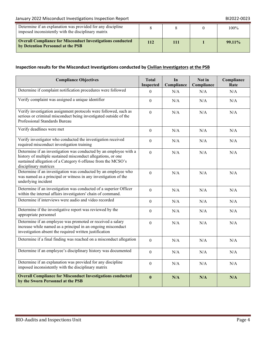# January 2022 Misconduct Investigations Inspection Report **BI2022-0023** BI2022-0023

| Determine if an explanation was provided for any discipline<br>imposed inconsistently with the disciplinary matrix |            |  | $100\%$   |
|--------------------------------------------------------------------------------------------------------------------|------------|--|-----------|
| <b>Overall Compliance for Misconduct Investigations conducted</b><br>by Detention Personnel at the PSB             | <b>112</b> |  | $99.11\%$ |

# **Inspection results for the Misconduct Investigations conducted by Civilian Investigators at the PSB**

| <b>Compliance Objectives</b>                                                                                                                                                                                               |                           | In<br>Compliance | Not in<br>Compliance | Compliance<br>Rate |
|----------------------------------------------------------------------------------------------------------------------------------------------------------------------------------------------------------------------------|---------------------------|------------------|----------------------|--------------------|
| Determine if complaint notification procedures were followed                                                                                                                                                               | Inspected<br>$\mathbf{0}$ | N/A              | N/A                  | N/A                |
| Verify complaint was assigned a unique identifier                                                                                                                                                                          | $\theta$                  | N/A              | N/A                  | N/A                |
| Verify investigation assignment protocols were followed, such as<br>serious or criminal misconduct being investigated outside of the<br>Professional Standards Bureau                                                      | $\mathbf{0}$              | N/A              | N/A                  | N/A                |
| Verify deadlines were met                                                                                                                                                                                                  | $\theta$                  | N/A              | N/A                  | N/A                |
| Verify investigator who conducted the investigation received<br>required misconduct investigation training                                                                                                                 | $\theta$                  | N/A              | N/A                  | N/A                |
| Determine if an investigation was conducted by an employee with a<br>history of multiple sustained misconduct allegations, or one<br>sustained allegation of a Category 6 offense from the MCSO's<br>disciplinary matrices | $\overline{0}$            | N/A              | N/A                  | N/A                |
| Determine if an investigation was conducted by an employee who<br>was named as a principal or witness in any investigation of the<br>underlying incident                                                                   | $\mathbf{0}$              | N/A              | N/A                  | N/A                |
| Determine if an investigation was conducted of a superior Officer<br>within the internal affairs investigators' chain of command.                                                                                          | $\overline{0}$            | N/A              | N/A                  | N/A                |
| Determine if interviews were audio and video recorded                                                                                                                                                                      | $\overline{0}$            | N/A              | N/A                  | N/A                |
| Determine if the investigative report was reviewed by the<br>appropriate personnel                                                                                                                                         | $\theta$                  | N/A              | N/A                  | N/A                |
| Determine if an employee was promoted or received a salary<br>increase while named as a principal in an ongoing misconduct<br>investigation absent the required written justification                                      | $\boldsymbol{0}$          | N/A              | N/A                  | N/A                |
| Determine if a final finding was reached on a misconduct allegation                                                                                                                                                        | $\boldsymbol{0}$          | N/A              | N/A                  | N/A                |
| Determine if an employee's disciplinary history was documented                                                                                                                                                             | $\theta$                  | N/A              | N/A                  | N/A                |
| Determine if an explanation was provided for any discipline<br>imposed inconsistently with the disciplinary matrix                                                                                                         | $\mathbf{0}$              | N/A              | N/A                  | N/A                |
| <b>Overall Compliance for Misconduct Investigations conducted</b><br>by the Sworn Personnel at the PSB                                                                                                                     | $\bf{0}$                  | N/A              | N/A                  | N/A                |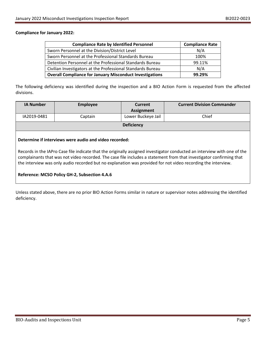#### **Compliance for January 2022:**

| <b>Compliance Rate by Identified Personnel</b>                  | <b>Compliance Rate</b> |
|-----------------------------------------------------------------|------------------------|
| Sworn Personnel at the Division/District Level                  | N/A                    |
| Sworn Personnel at the Professional Standards Bureau            | 100%                   |
| Detention Personnel at the Professional Standards Bureau        | 99.11%                 |
| Civilian Investigators at the Professional Standards Bureau     | N/A                    |
| <b>Overall Compliance for January Misconduct Investigations</b> | 99.29%                 |

The following deficiency was identified during the inspection and a BIO Action Form is requested from the affected divisions.

| <b>IA Number</b> | <b>Employee</b> | Current            | <b>Current Division Commander</b> |
|------------------|-----------------|--------------------|-----------------------------------|
|                  |                 | <b>Assignment</b>  |                                   |
| IA2019-0481      | Captain         | Lower Buckeye Jail | Chief                             |
|                  |                 | <b>Deficiency</b>  |                                   |

### **Determine if interviews were audio and video recorded:**

Records in the IAPro Case file indicate that the originally assigned investigator conducted an interview with one of the complainants that was not video recorded. The case file includes a statement from that investigator confirming that the interview was only audio recorded but no explanation was provided for not video recording the interview.

## **Reference: MCSO Policy GH-2, Subsection 4.A.6**

Unless stated above, there are no prior BIO Action Forms similar in nature or supervisor notes addressing the identified deficiency.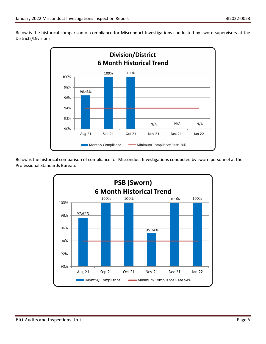Below is the historical comparison of compliance for Misconduct Investigations conducted by sworn supervisors at the Districts/Divisions:



Below is the historical comparison of compliance for Misconduct Investigations conducted by sworn personnel at the Professional Standards Bureau:

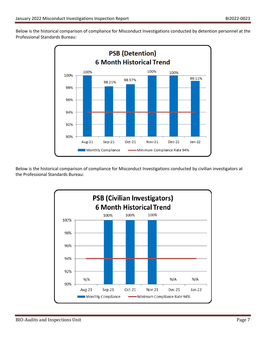Below is the historical comparison of compliance for Misconduct Investigations conducted by detention personnel at the Professional Standards Bureau:



Below is the historical comparison of compliance for Misconduct Investigations conducted by civilian investigators at the Professional Standards Bureau: